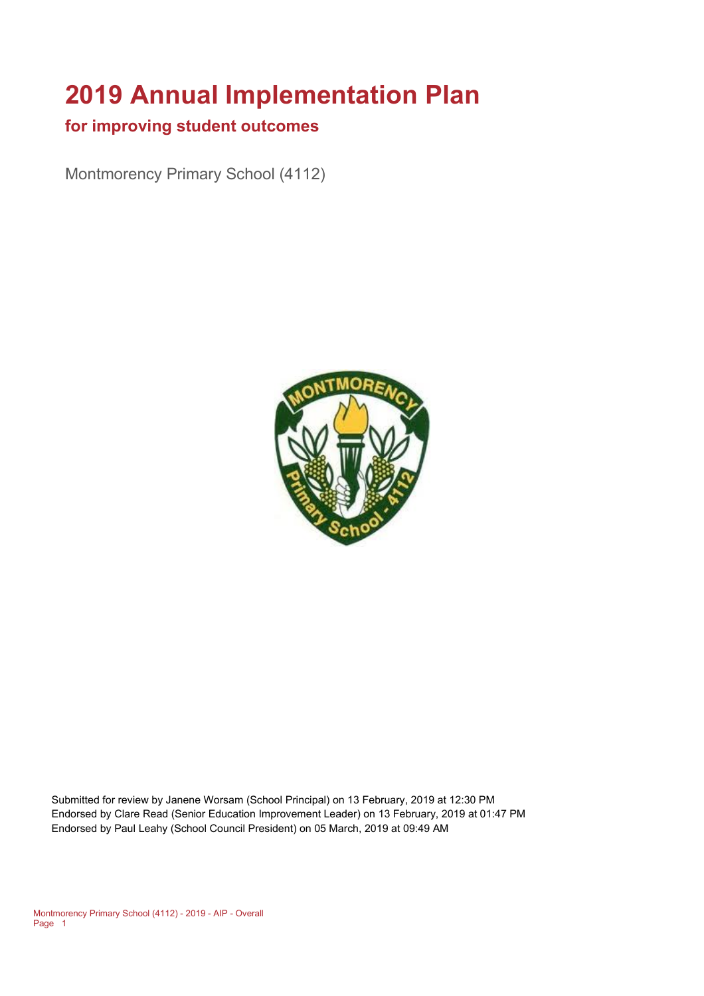# **2019 Annual Implementation Plan**

#### **for improving student outcomes**

Montmorency Primary School (4112)



Submitted for review by Janene Worsam (School Principal) on 13 February, 2019 at 12:30 PM Endorsed by Clare Read (Senior Education Improvement Leader) on 13 February, 2019 at 01:47 PM Endorsed by Paul Leahy (School Council President) on 05 March, 2019 at 09:49 AM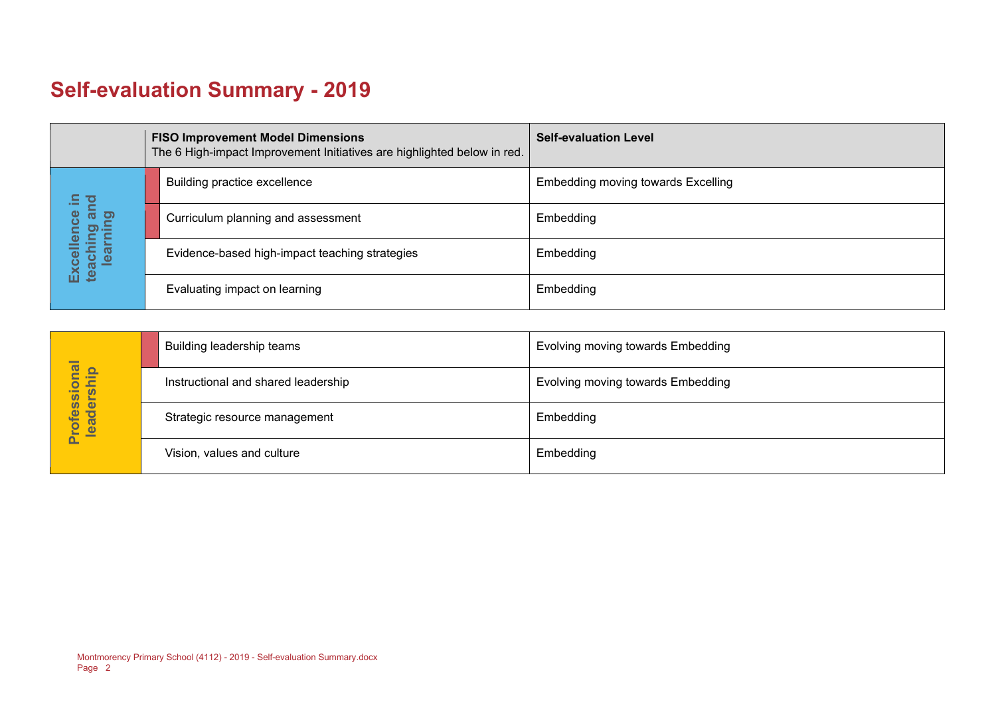## **Self-evaluation Summary - 2019**

|  |                                | <b>FISO Improvement Model Dimensions</b><br>The 6 High-impact Improvement Initiatives are highlighted below in red. | <b>Self-evaluation Level</b>       |
|--|--------------------------------|---------------------------------------------------------------------------------------------------------------------|------------------------------------|
|  | 음.                             | Building practice excellence                                                                                        | Embedding moving towards Excelling |
|  | and<br>ence<br>puing.<br>Minna | Curriculum planning and assessment                                                                                  | Embedding                          |
|  | Excelle<br>teachi<br>lear      | Evidence-based high-impact teaching strategies                                                                      | Embedding                          |
|  |                                | Evaluating impact on learning                                                                                       | Embedding                          |

|                            | Building leadership teams           | Evolving moving towards Embedding |
|----------------------------|-------------------------------------|-----------------------------------|
|                            | Instructional and shared leadership | Evolving moving towards Embedding |
| Professional<br>leadership | Strategic resource management       | Embedding                         |
|                            | Vision, values and culture          | Embedding                         |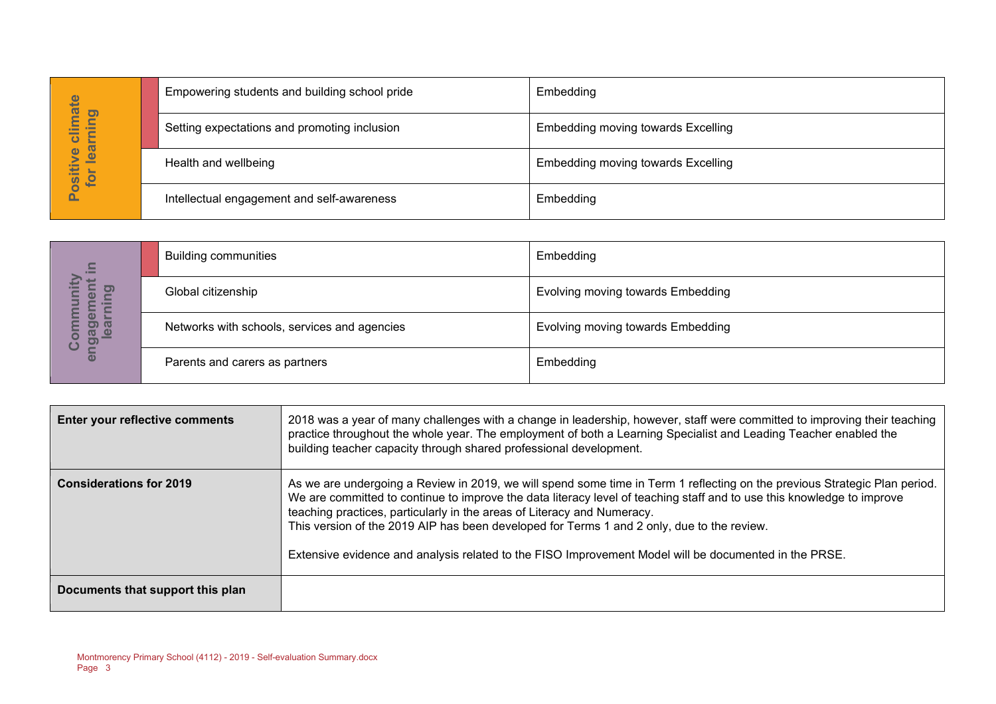| hate                                          | Empowering students and building school pride | Embedding                          |
|-----------------------------------------------|-----------------------------------------------|------------------------------------|
| pui<br>➤<br>느<br>arr<br>ပ                     | Setting expectations and promoting inclusion  | Embedding moving towards Excelling |
| Φ<br>$\overline{\mathbf{e}}$<br>ositin<br>jot | Health and wellbeing                          | Embedding moving towards Excelling |
|                                               | Intellectual engagement and self-awareness    | Embedding                          |

| $\equiv$                                      | <b>Building communities</b>                  | Embedding                         |
|-----------------------------------------------|----------------------------------------------|-----------------------------------|
| o)<br>O                                       | Global citizenship                           | Evolving moving towards Embedding |
| ត<br>ວ) (ປ<br>a<br>$\bullet$<br><b>P</b><br>ပ | Networks with schools, services and agencies | Evolving moving towards Embedding |
| ត                                             | Parents and carers as partners               | Embedding                         |

|                                  |                                                                         | Empowering students and building school pride                                                                                                                                                                                                                                                                                                                                                                                                                                                                                          | Empedamg                                                                                                                                                                                                                                      |  |
|----------------------------------|-------------------------------------------------------------------------|----------------------------------------------------------------------------------------------------------------------------------------------------------------------------------------------------------------------------------------------------------------------------------------------------------------------------------------------------------------------------------------------------------------------------------------------------------------------------------------------------------------------------------------|-----------------------------------------------------------------------------------------------------------------------------------------------------------------------------------------------------------------------------------------------|--|
| Positive climate<br>for learning |                                                                         | Setting expectations and promoting inclusion                                                                                                                                                                                                                                                                                                                                                                                                                                                                                           | <b>Embedding moving towards Excelling</b>                                                                                                                                                                                                     |  |
|                                  | Health and wellbeing                                                    |                                                                                                                                                                                                                                                                                                                                                                                                                                                                                                                                        | <b>Embedding moving towards Excelling</b>                                                                                                                                                                                                     |  |
|                                  |                                                                         | Intellectual engagement and self-awareness                                                                                                                                                                                                                                                                                                                                                                                                                                                                                             | Embedding                                                                                                                                                                                                                                     |  |
|                                  |                                                                         |                                                                                                                                                                                                                                                                                                                                                                                                                                                                                                                                        |                                                                                                                                                                                                                                               |  |
|                                  | <b>Building communities</b>                                             |                                                                                                                                                                                                                                                                                                                                                                                                                                                                                                                                        | Embedding                                                                                                                                                                                                                                     |  |
| earning                          | Global citizenship                                                      |                                                                                                                                                                                                                                                                                                                                                                                                                                                                                                                                        | Evolving moving towards Embedding                                                                                                                                                                                                             |  |
| engagement in<br>Community       |                                                                         | Networks with schools, services and agencies                                                                                                                                                                                                                                                                                                                                                                                                                                                                                           | Evolving moving towards Embedding                                                                                                                                                                                                             |  |
|                                  | Parents and carers as partners                                          |                                                                                                                                                                                                                                                                                                                                                                                                                                                                                                                                        | Embedding                                                                                                                                                                                                                                     |  |
|                                  |                                                                         |                                                                                                                                                                                                                                                                                                                                                                                                                                                                                                                                        |                                                                                                                                                                                                                                               |  |
|                                  | Enter your reflective comments                                          | building teacher capacity through shared professional development.                                                                                                                                                                                                                                                                                                                                                                                                                                                                     | 2018 was a year of many challenges with a change in leadership, however, staff were committed to improving their teaching<br>practice throughout the whole year. The employment of both a Learning Specialist and Leading Teacher enabled the |  |
| <b>Considerations for 2019</b>   |                                                                         | As we are undergoing a Review in 2019, we will spend some time in Term 1 reflecting on the previous Strategic Plan period.<br>We are committed to continue to improve the data literacy level of teaching staff and to use this knowledge to improve<br>teaching practices, particularly in the areas of Literacy and Numeracy.<br>This version of the 2019 AIP has been developed for Terms 1 and 2 only, due to the review.<br>Extensive evidence and analysis related to the FISO Improvement Model will be documented in the PRSE. |                                                                                                                                                                                                                                               |  |
|                                  | Documents that support this plan                                        |                                                                                                                                                                                                                                                                                                                                                                                                                                                                                                                                        |                                                                                                                                                                                                                                               |  |
| Page 3                           | Montmorency Primary School (4112) - 2019 - Self-evaluation Summary.docx |                                                                                                                                                                                                                                                                                                                                                                                                                                                                                                                                        |                                                                                                                                                                                                                                               |  |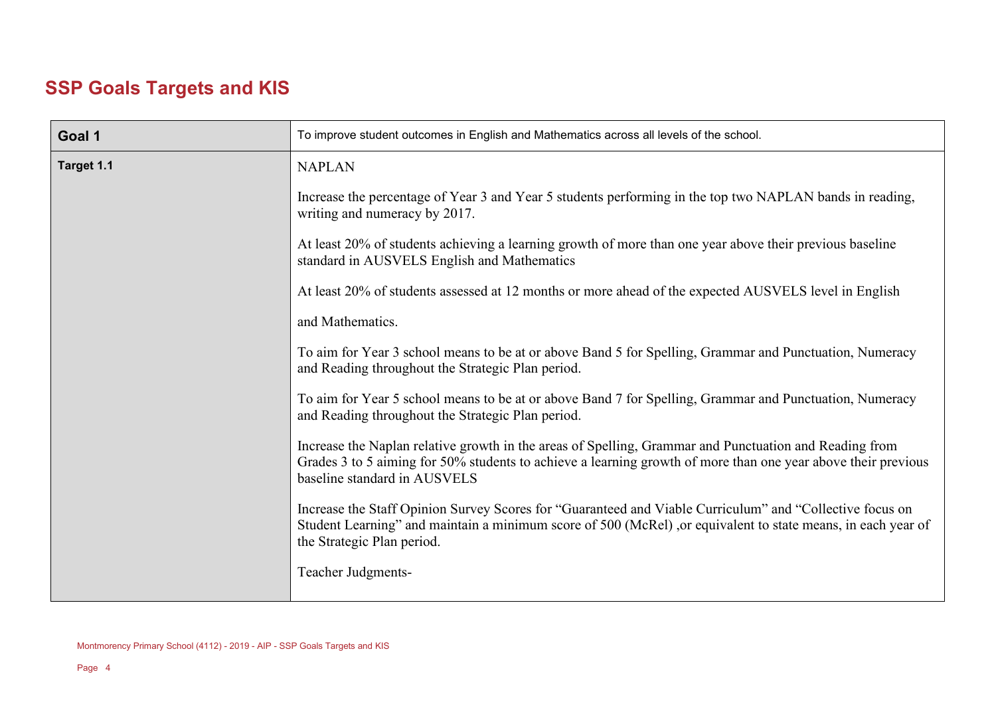## **SSP Goals Targets and KIS**

| Goal 1     | To improve student outcomes in English and Mathematics across all levels of the school.                                                                                                                                                                 |  |  |
|------------|---------------------------------------------------------------------------------------------------------------------------------------------------------------------------------------------------------------------------------------------------------|--|--|
| Target 1.1 | <b>NAPLAN</b>                                                                                                                                                                                                                                           |  |  |
|            | Increase the percentage of Year 3 and Year 5 students performing in the top two NAPLAN bands in reading,<br>writing and numeracy by 2017.                                                                                                               |  |  |
|            | At least 20% of students achieving a learning growth of more than one year above their previous baseline<br>standard in AUSVELS English and Mathematics                                                                                                 |  |  |
|            | At least 20% of students assessed at 12 months or more ahead of the expected AUSVELS level in English                                                                                                                                                   |  |  |
|            | and Mathematics.                                                                                                                                                                                                                                        |  |  |
|            | To aim for Year 3 school means to be at or above Band 5 for Spelling, Grammar and Punctuation, Numeracy<br>and Reading throughout the Strategic Plan period.                                                                                            |  |  |
|            | To aim for Year 5 school means to be at or above Band 7 for Spelling, Grammar and Punctuation, Numeracy<br>and Reading throughout the Strategic Plan period.                                                                                            |  |  |
|            | Increase the Naplan relative growth in the areas of Spelling, Grammar and Punctuation and Reading from<br>Grades 3 to 5 aiming for 50% students to achieve a learning growth of more than one year above their previous<br>baseline standard in AUSVELS |  |  |
|            | Increase the Staff Opinion Survey Scores for "Guaranteed and Viable Curriculum" and "Collective focus on<br>Student Learning" and maintain a minimum score of 500 (McRel), or equivalent to state means, in each year of<br>the Strategic Plan period.  |  |  |
|            | Teacher Judgments-                                                                                                                                                                                                                                      |  |  |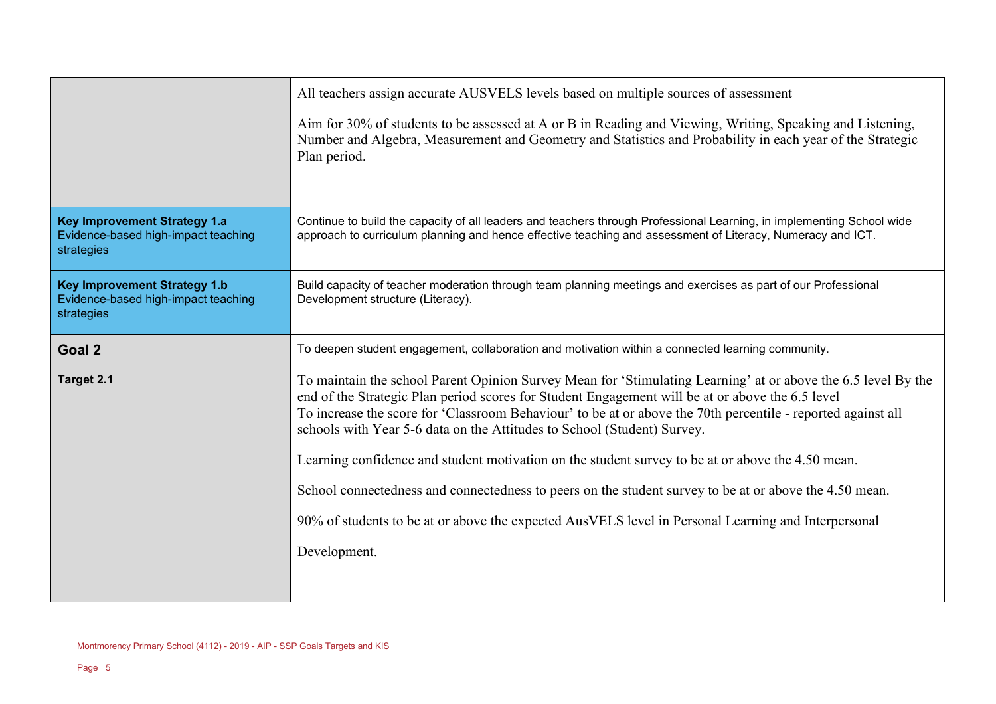|                                                                                          | All teachers assign accurate AUSVELS levels based on multiple sources of assessment                                                                                                                                                                                                                                                                                                                          |  |  |
|------------------------------------------------------------------------------------------|--------------------------------------------------------------------------------------------------------------------------------------------------------------------------------------------------------------------------------------------------------------------------------------------------------------------------------------------------------------------------------------------------------------|--|--|
|                                                                                          | Aim for 30% of students to be assessed at A or B in Reading and Viewing, Writing, Speaking and Listening,<br>Number and Algebra, Measurement and Geometry and Statistics and Probability in each year of the Strategic<br>Plan period.                                                                                                                                                                       |  |  |
| <b>Key Improvement Strategy 1.a</b><br>Evidence-based high-impact teaching<br>strategies | Continue to build the capacity of all leaders and teachers through Professional Learning, in implementing School wide<br>approach to curriculum planning and hence effective teaching and assessment of Literacy, Numeracy and ICT.                                                                                                                                                                          |  |  |
| <b>Key Improvement Strategy 1.b</b><br>Evidence-based high-impact teaching<br>strategies | Build capacity of teacher moderation through team planning meetings and exercises as part of our Professional<br>Development structure (Literacy).                                                                                                                                                                                                                                                           |  |  |
| Goal 2                                                                                   | To deepen student engagement, collaboration and motivation within a connected learning community.                                                                                                                                                                                                                                                                                                            |  |  |
| Target 2.1                                                                               | To maintain the school Parent Opinion Survey Mean for 'Stimulating Learning' at or above the 6.5 level By the<br>end of the Strategic Plan period scores for Student Engagement will be at or above the 6.5 level<br>To increase the score for 'Classroom Behaviour' to be at or above the 70th percentile - reported against all<br>schools with Year 5-6 data on the Attitudes to School (Student) Survey. |  |  |
|                                                                                          | Learning confidence and student motivation on the student survey to be at or above the 4.50 mean.                                                                                                                                                                                                                                                                                                            |  |  |
|                                                                                          | School connectedness and connectedness to peers on the student survey to be at or above the 4.50 mean.                                                                                                                                                                                                                                                                                                       |  |  |
|                                                                                          | 90% of students to be at or above the expected AusVELS level in Personal Learning and Interpersonal                                                                                                                                                                                                                                                                                                          |  |  |
|                                                                                          | Development.                                                                                                                                                                                                                                                                                                                                                                                                 |  |  |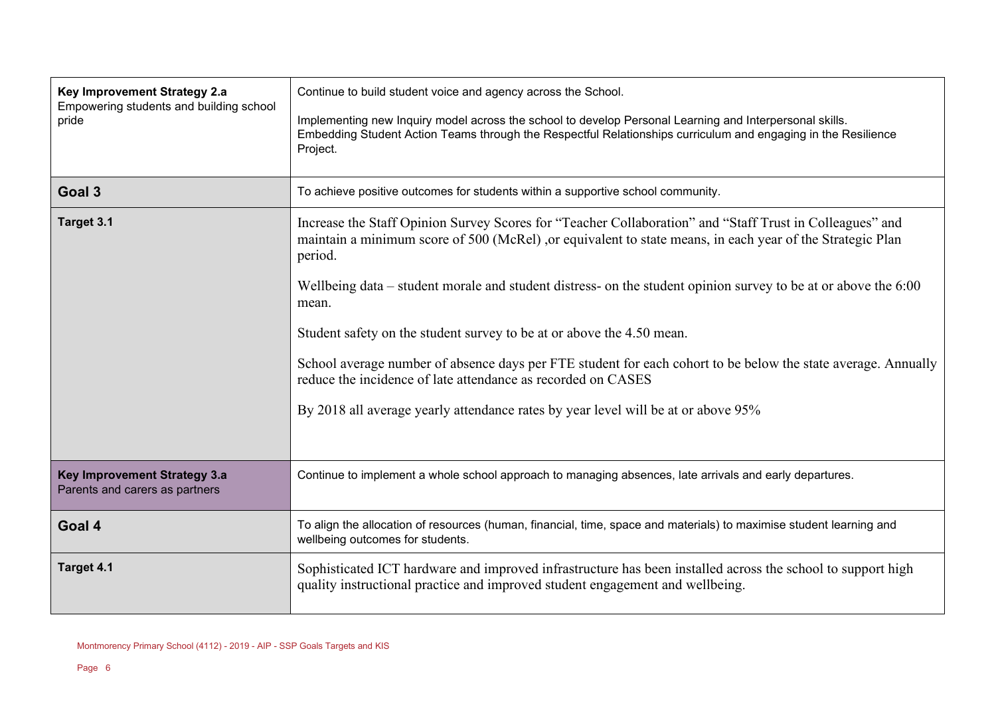| Key Improvement Strategy 2.a<br>Empowering students and building school<br>pride | Continue to build student voice and agency across the School.<br>Implementing new Inquiry model across the school to develop Personal Learning and Interpersonal skills.<br>Embedding Student Action Teams through the Respectful Relationships curriculum and engaging in the Resilience<br>Project.                                                                                                                                                                                                                                                                                                                                                                                                      |  |  |
|----------------------------------------------------------------------------------|------------------------------------------------------------------------------------------------------------------------------------------------------------------------------------------------------------------------------------------------------------------------------------------------------------------------------------------------------------------------------------------------------------------------------------------------------------------------------------------------------------------------------------------------------------------------------------------------------------------------------------------------------------------------------------------------------------|--|--|
| Goal 3                                                                           | To achieve positive outcomes for students within a supportive school community.                                                                                                                                                                                                                                                                                                                                                                                                                                                                                                                                                                                                                            |  |  |
| Target 3.1                                                                       | Increase the Staff Opinion Survey Scores for "Teacher Collaboration" and "Staff Trust in Colleagues" and<br>maintain a minimum score of 500 (McRel), or equivalent to state means, in each year of the Strategic Plan<br>period.<br>Wellbeing data – student morale and student distress- on the student opinion survey to be at or above the 6:00<br>mean.<br>Student safety on the student survey to be at or above the 4.50 mean.<br>School average number of absence days per FTE student for each cohort to be below the state average. Annually<br>reduce the incidence of late attendance as recorded on CASES<br>By 2018 all average yearly attendance rates by year level will be at or above 95% |  |  |
| Key Improvement Strategy 3.a<br>Parents and carers as partners                   | Continue to implement a whole school approach to managing absences, late arrivals and early departures.                                                                                                                                                                                                                                                                                                                                                                                                                                                                                                                                                                                                    |  |  |
| Goal 4                                                                           | To align the allocation of resources (human, financial, time, space and materials) to maximise student learning and<br>wellbeing outcomes for students.                                                                                                                                                                                                                                                                                                                                                                                                                                                                                                                                                    |  |  |
| Target 4.1                                                                       | Sophisticated ICT hardware and improved infrastructure has been installed across the school to support high<br>quality instructional practice and improved student engagement and wellbeing.                                                                                                                                                                                                                                                                                                                                                                                                                                                                                                               |  |  |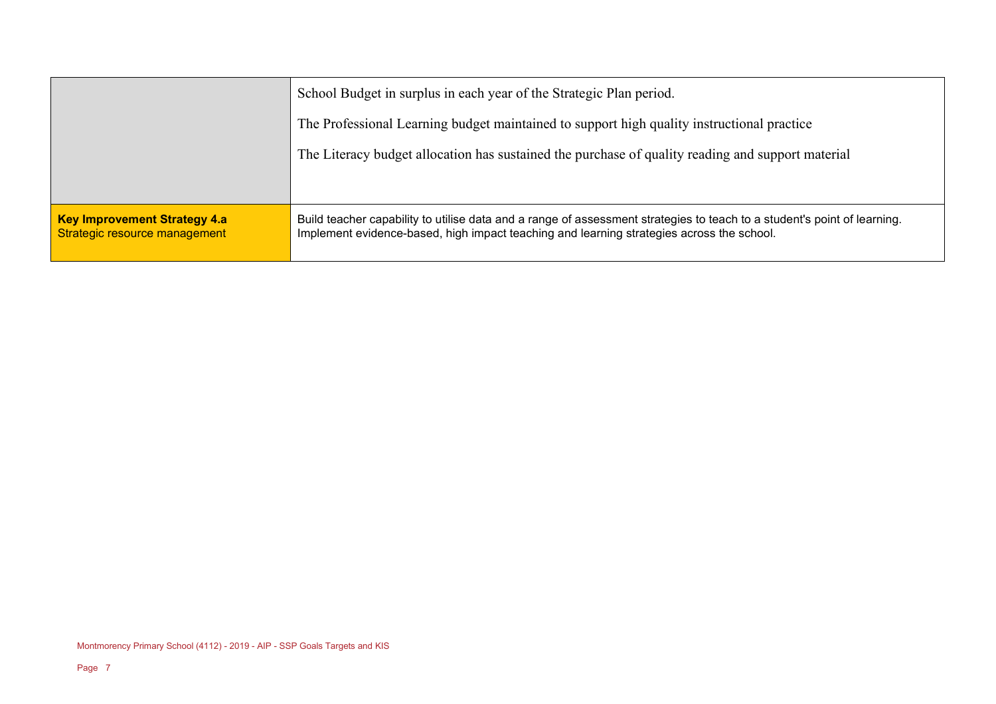|                                                                      | School Budget in surplus in each year of the Strategic Plan period.                                                                                                                                                   |  |  |
|----------------------------------------------------------------------|-----------------------------------------------------------------------------------------------------------------------------------------------------------------------------------------------------------------------|--|--|
|                                                                      | The Professional Learning budget maintained to support high quality instructional practice                                                                                                                            |  |  |
|                                                                      | The Literacy budget allocation has sustained the purchase of quality reading and support material                                                                                                                     |  |  |
|                                                                      |                                                                                                                                                                                                                       |  |  |
| <b>Key Improvement Strategy 4.a</b><br>Strategic resource management | Build teacher capability to utilise data and a range of assessment strategies to teach to a student's point of learning.<br>Implement evidence-based, high impact teaching and learning strategies across the school. |  |  |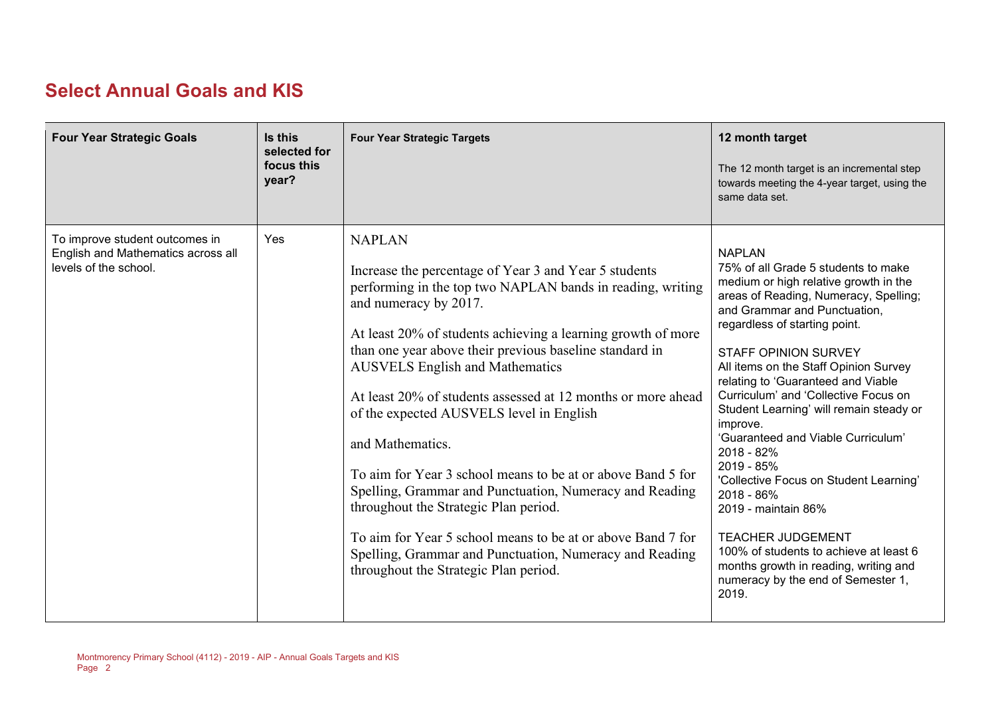## **Select Annual Goals and KIS**

| <b>Four Year Strategic Goals</b>                                                              | Is this<br>selected for<br>focus this<br>year? | <b>Four Year Strategic Targets</b>                                                                                                                                                                                                                                                                                                                                                                                                                                                                                                                                                                                                                                                                                                                                                                       | 12 month target<br>The 12 month target is an incremental step<br>towards meeting the 4-year target, using the<br>same data set.                                                                                                                                                                                                                                                                                                                                                                                                                                                                                                                                                                                                     |
|-----------------------------------------------------------------------------------------------|------------------------------------------------|----------------------------------------------------------------------------------------------------------------------------------------------------------------------------------------------------------------------------------------------------------------------------------------------------------------------------------------------------------------------------------------------------------------------------------------------------------------------------------------------------------------------------------------------------------------------------------------------------------------------------------------------------------------------------------------------------------------------------------------------------------------------------------------------------------|-------------------------------------------------------------------------------------------------------------------------------------------------------------------------------------------------------------------------------------------------------------------------------------------------------------------------------------------------------------------------------------------------------------------------------------------------------------------------------------------------------------------------------------------------------------------------------------------------------------------------------------------------------------------------------------------------------------------------------------|
| To improve student outcomes in<br>English and Mathematics across all<br>levels of the school. | Yes                                            | <b>NAPLAN</b><br>Increase the percentage of Year 3 and Year 5 students<br>performing in the top two NAPLAN bands in reading, writing<br>and numeracy by 2017.<br>At least 20% of students achieving a learning growth of more<br>than one year above their previous baseline standard in<br><b>AUSVELS English and Mathematics</b><br>At least 20% of students assessed at 12 months or more ahead<br>of the expected AUSVELS level in English<br>and Mathematics.<br>To aim for Year 3 school means to be at or above Band 5 for<br>Spelling, Grammar and Punctuation, Numeracy and Reading<br>throughout the Strategic Plan period.<br>To aim for Year 5 school means to be at or above Band 7 for<br>Spelling, Grammar and Punctuation, Numeracy and Reading<br>throughout the Strategic Plan period. | <b>NAPLAN</b><br>75% of all Grade 5 students to make<br>medium or high relative growth in the<br>areas of Reading, Numeracy, Spelling;<br>and Grammar and Punctuation,<br>regardless of starting point.<br><b>STAFF OPINION SURVEY</b><br>All items on the Staff Opinion Survey<br>relating to 'Guaranteed and Viable<br>Curriculum' and 'Collective Focus on<br>Student Learning' will remain steady or<br>improve.<br>'Guaranteed and Viable Curriculum'<br>2018 - 82%<br>2019 - 85%<br>'Collective Focus on Student Learning'<br>2018 - 86%<br>2019 - maintain 86%<br><b>TEACHER JUDGEMENT</b><br>100% of students to achieve at least 6<br>months growth in reading, writing and<br>numeracy by the end of Semester 1,<br>2019. |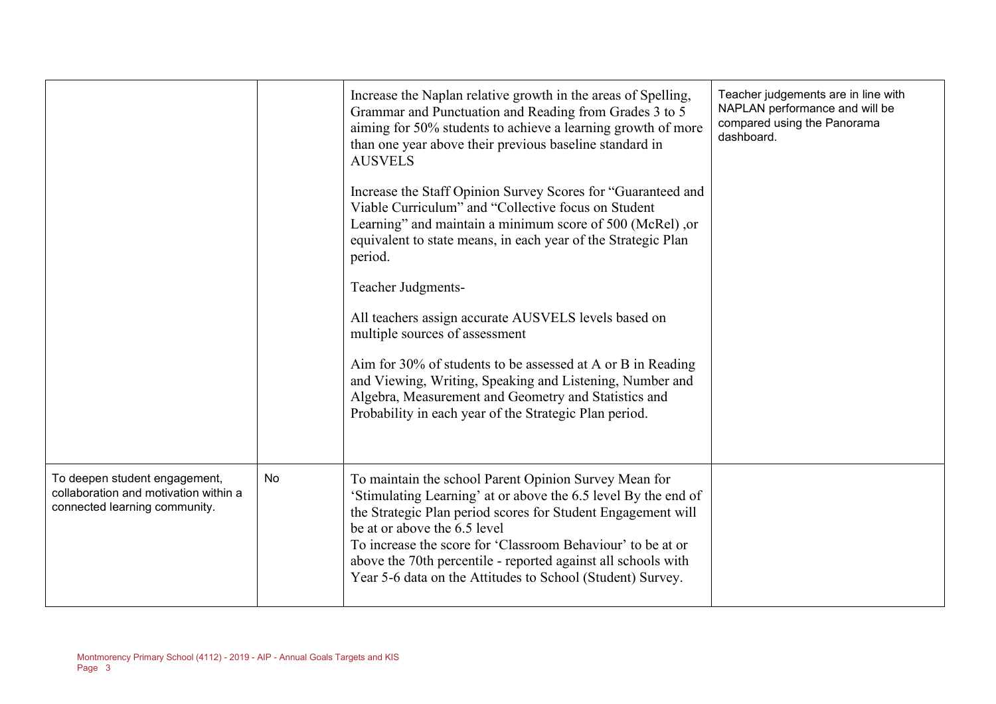|                                                                                                         |    | Increase the Naplan relative growth in the areas of Spelling,<br>Grammar and Punctuation and Reading from Grades 3 to 5<br>aiming for 50% students to achieve a learning growth of more<br>than one year above their previous baseline standard in<br><b>AUSVELS</b><br>Increase the Staff Opinion Survey Scores for "Guaranteed and<br>Viable Curriculum" and "Collective focus on Student<br>Learning" and maintain a minimum score of 500 (McRel), or<br>equivalent to state means, in each year of the Strategic Plan<br>period.<br><b>Teacher Judgments-</b><br>All teachers assign accurate AUSVELS levels based on<br>multiple sources of assessment<br>Aim for 30% of students to be assessed at A or B in Reading<br>and Viewing, Writing, Speaking and Listening, Number and<br>Algebra, Measurement and Geometry and Statistics and<br>Probability in each year of the Strategic Plan period. | Teacher judgements are in line with<br>NAPLAN performance and will be<br>compared using the Panorama<br>dashboard. |
|---------------------------------------------------------------------------------------------------------|----|----------------------------------------------------------------------------------------------------------------------------------------------------------------------------------------------------------------------------------------------------------------------------------------------------------------------------------------------------------------------------------------------------------------------------------------------------------------------------------------------------------------------------------------------------------------------------------------------------------------------------------------------------------------------------------------------------------------------------------------------------------------------------------------------------------------------------------------------------------------------------------------------------------|--------------------------------------------------------------------------------------------------------------------|
| To deepen student engagement,<br>collaboration and motivation within a<br>connected learning community. | No | To maintain the school Parent Opinion Survey Mean for<br>'Stimulating Learning' at or above the 6.5 level By the end of<br>the Strategic Plan period scores for Student Engagement will<br>be at or above the 6.5 level<br>To increase the score for 'Classroom Behaviour' to be at or<br>above the 70th percentile - reported against all schools with<br>Year 5-6 data on the Attitudes to School (Student) Survey.                                                                                                                                                                                                                                                                                                                                                                                                                                                                                    |                                                                                                                    |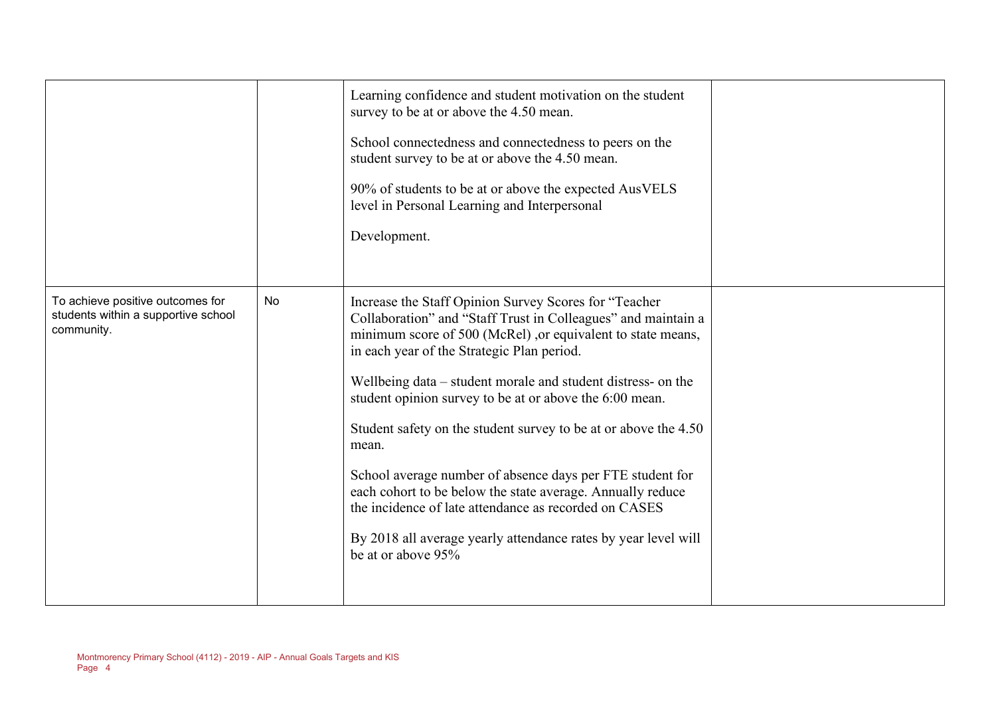|                                                                                       |           | Learning confidence and student motivation on the student<br>survey to be at or above the 4.50 mean.<br>School connectedness and connectedness to peers on the<br>student survey to be at or above the 4.50 mean.<br>90% of students to be at or above the expected AusVELS<br>level in Personal Learning and Interpersonal<br>Development.                                                                                                                                                                                                                                                                                                                                                                            |  |
|---------------------------------------------------------------------------------------|-----------|------------------------------------------------------------------------------------------------------------------------------------------------------------------------------------------------------------------------------------------------------------------------------------------------------------------------------------------------------------------------------------------------------------------------------------------------------------------------------------------------------------------------------------------------------------------------------------------------------------------------------------------------------------------------------------------------------------------------|--|
| To achieve positive outcomes for<br>students within a supportive school<br>community. | <b>No</b> | Increase the Staff Opinion Survey Scores for "Teacher<br>Collaboration" and "Staff Trust in Colleagues" and maintain a<br>minimum score of 500 (McRel), or equivalent to state means,<br>in each year of the Strategic Plan period.<br>Wellbeing data – student morale and student distress- on the<br>student opinion survey to be at or above the 6:00 mean.<br>Student safety on the student survey to be at or above the 4.50<br>mean.<br>School average number of absence days per FTE student for<br>each cohort to be below the state average. Annually reduce<br>the incidence of late attendance as recorded on CASES<br>By 2018 all average yearly attendance rates by year level will<br>be at or above 95% |  |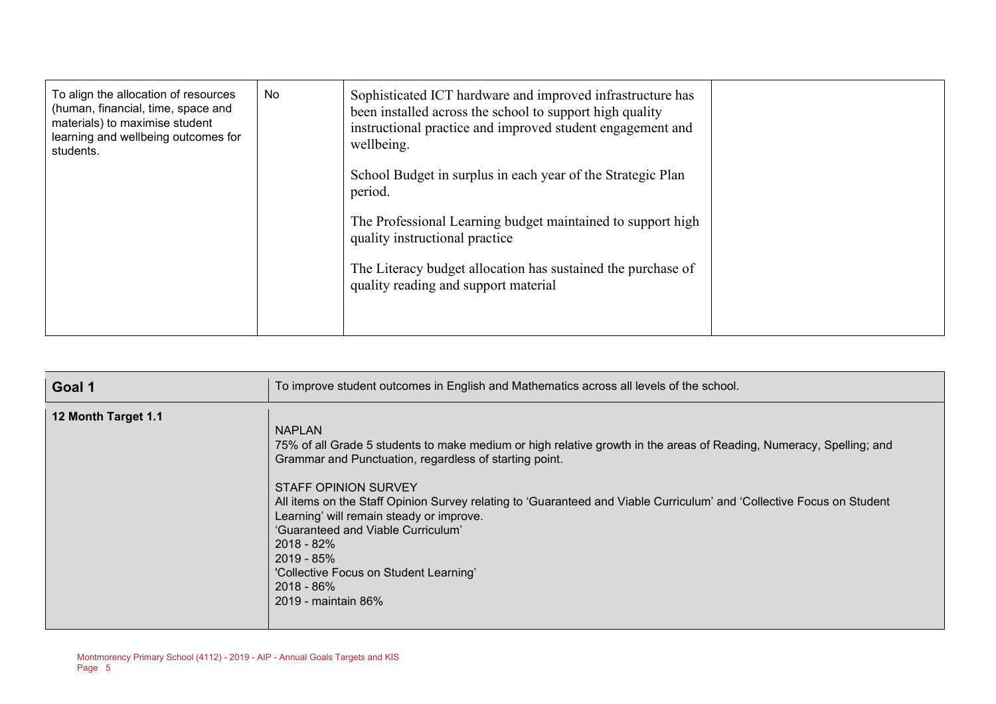| No<br>To align the allocation of resources<br>(human, financial, time, space and<br>materials) to maximise student<br>learning and wellbeing outcomes for<br>students. | Sophisticated ICT hardware and improved infrastructure has<br>been installed across the school to support high quality<br>instructional practice and improved student engagement and<br>wellbeing.<br>School Budget in surplus in each year of the Strategic Plan<br>period.<br>The Professional Learning budget maintained to support high<br>quality instructional practice<br>The Literacy budget allocation has sustained the purchase of<br>quality reading and support material |  |
|------------------------------------------------------------------------------------------------------------------------------------------------------------------------|---------------------------------------------------------------------------------------------------------------------------------------------------------------------------------------------------------------------------------------------------------------------------------------------------------------------------------------------------------------------------------------------------------------------------------------------------------------------------------------|--|
|------------------------------------------------------------------------------------------------------------------------------------------------------------------------|---------------------------------------------------------------------------------------------------------------------------------------------------------------------------------------------------------------------------------------------------------------------------------------------------------------------------------------------------------------------------------------------------------------------------------------------------------------------------------------|--|

| Goal 1              | To improve student outcomes in English and Mathematics across all levels of the school.                                                                                                                                                                                                                                                                                                                                                                                                                                                              |
|---------------------|------------------------------------------------------------------------------------------------------------------------------------------------------------------------------------------------------------------------------------------------------------------------------------------------------------------------------------------------------------------------------------------------------------------------------------------------------------------------------------------------------------------------------------------------------|
| 12 Month Target 1.1 | <b>NAPLAN</b><br>75% of all Grade 5 students to make medium or high relative growth in the areas of Reading, Numeracy, Spelling; and<br>Grammar and Punctuation, regardless of starting point.<br>STAFF OPINION SURVEY<br>All items on the Staff Opinion Survey relating to 'Guaranteed and Viable Curriculum' and 'Collective Focus on Student<br>Learning' will remain steady or improve.<br>'Guaranteed and Viable Curriculum'<br>$2018 - 82\%$<br>$2019 - 85%$<br>'Collective Focus on Student Learning'<br>$2018 - 86\%$<br>2019 - maintain 86% |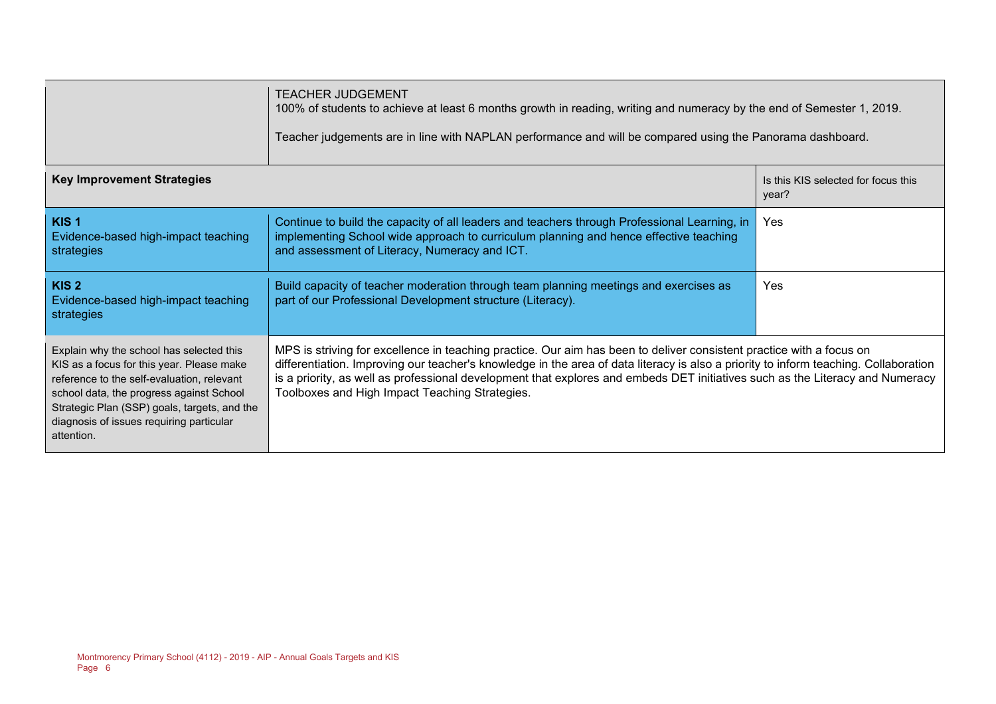|                                                                                                                                                                                                                                                                                           | TEACHER JUDGEMENT<br>100% of students to achieve at least 6 months growth in reading, writing and numeracy by the end of Semester 1, 2019.<br>Teacher judgements are in line with NAPLAN performance and will be compared using the Panorama dashboard.                                                                                                                                                                                         |                                              |  |  |  |
|-------------------------------------------------------------------------------------------------------------------------------------------------------------------------------------------------------------------------------------------------------------------------------------------|-------------------------------------------------------------------------------------------------------------------------------------------------------------------------------------------------------------------------------------------------------------------------------------------------------------------------------------------------------------------------------------------------------------------------------------------------|----------------------------------------------|--|--|--|
| <b>Key Improvement Strategies</b>                                                                                                                                                                                                                                                         |                                                                                                                                                                                                                                                                                                                                                                                                                                                 | Is this KIS selected for focus this<br>year? |  |  |  |
| KIS <sub>1</sub><br>Evidence-based high-impact teaching<br>strategies                                                                                                                                                                                                                     | Continue to build the capacity of all leaders and teachers through Professional Learning, in<br>implementing School wide approach to curriculum planning and hence effective teaching<br>and assessment of Literacy, Numeracy and ICT.                                                                                                                                                                                                          | Yes                                          |  |  |  |
| KIS <sub>2</sub><br>Evidence-based high-impact teaching<br>strategies                                                                                                                                                                                                                     | Build capacity of teacher moderation through team planning meetings and exercises as<br>part of our Professional Development structure (Literacy).                                                                                                                                                                                                                                                                                              | Yes                                          |  |  |  |
| Explain why the school has selected this<br>KIS as a focus for this year. Please make<br>reference to the self-evaluation, relevant<br>school data, the progress against School<br>Strategic Plan (SSP) goals, targets, and the<br>diagnosis of issues requiring particular<br>attention. | MPS is striving for excellence in teaching practice. Our aim has been to deliver consistent practice with a focus on<br>differentiation. Improving our teacher's knowledge in the area of data literacy is also a priority to inform teaching. Collaboration<br>is a priority, as well as professional development that explores and embeds DET initiatives such as the Literacy and Numeracy<br>Toolboxes and High Impact Teaching Strategies. |                                              |  |  |  |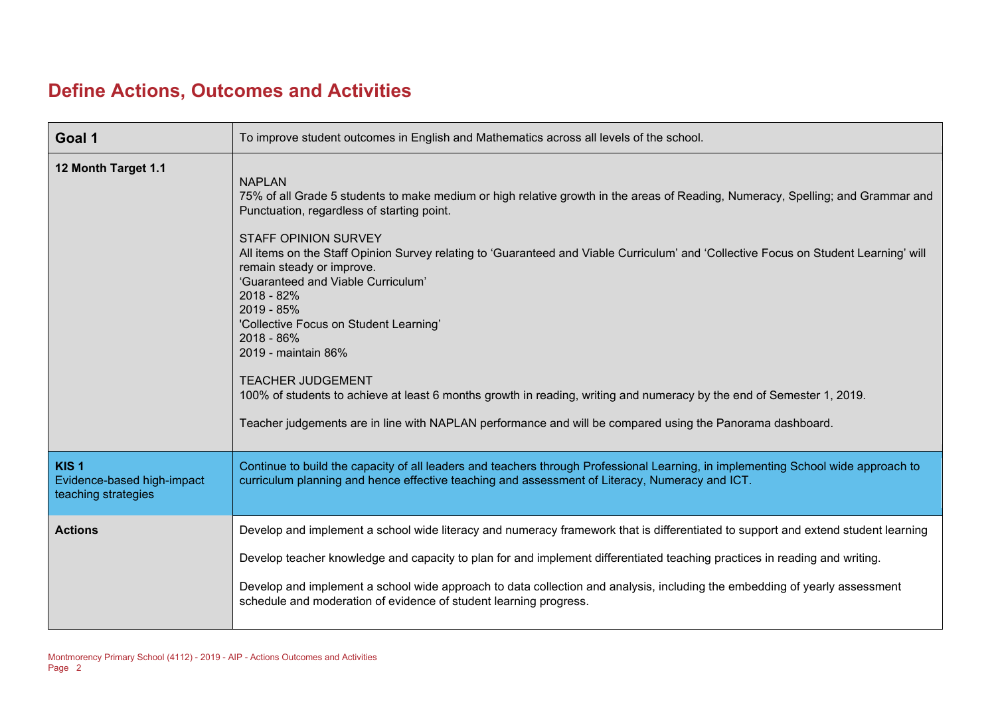### **Define Actions, Outcomes and Activities**

| Goal 1                                                                | To improve student outcomes in English and Mathematics across all levels of the school.                                                                                                                                                                                                                                                                                                                                                                                                                                                                                                                                                                                                                                                                                                                               |
|-----------------------------------------------------------------------|-----------------------------------------------------------------------------------------------------------------------------------------------------------------------------------------------------------------------------------------------------------------------------------------------------------------------------------------------------------------------------------------------------------------------------------------------------------------------------------------------------------------------------------------------------------------------------------------------------------------------------------------------------------------------------------------------------------------------------------------------------------------------------------------------------------------------|
| 12 Month Target 1.1                                                   | <b>NAPLAN</b><br>75% of all Grade 5 students to make medium or high relative growth in the areas of Reading, Numeracy, Spelling; and Grammar and<br>Punctuation, regardless of starting point.<br><b>STAFF OPINION SURVEY</b><br>All items on the Staff Opinion Survey relating to 'Guaranteed and Viable Curriculum' and 'Collective Focus on Student Learning' will<br>remain steady or improve.<br>'Guaranteed and Viable Curriculum'<br>2018 - 82%<br>2019 - 85%<br>'Collective Focus on Student Learning'<br>2018 - 86%<br>2019 - maintain 86%<br><b>TEACHER JUDGEMENT</b><br>100% of students to achieve at least 6 months growth in reading, writing and numeracy by the end of Semester 1, 2019.<br>Teacher judgements are in line with NAPLAN performance and will be compared using the Panorama dashboard. |
| KIS <sub>1</sub><br>Evidence-based high-impact<br>teaching strategies | Continue to build the capacity of all leaders and teachers through Professional Learning, in implementing School wide approach to<br>curriculum planning and hence effective teaching and assessment of Literacy, Numeracy and ICT.                                                                                                                                                                                                                                                                                                                                                                                                                                                                                                                                                                                   |
| <b>Actions</b>                                                        | Develop and implement a school wide literacy and numeracy framework that is differentiated to support and extend student learning                                                                                                                                                                                                                                                                                                                                                                                                                                                                                                                                                                                                                                                                                     |
|                                                                       | Develop teacher knowledge and capacity to plan for and implement differentiated teaching practices in reading and writing.                                                                                                                                                                                                                                                                                                                                                                                                                                                                                                                                                                                                                                                                                            |
|                                                                       | Develop and implement a school wide approach to data collection and analysis, including the embedding of yearly assessment<br>schedule and moderation of evidence of student learning progress.                                                                                                                                                                                                                                                                                                                                                                                                                                                                                                                                                                                                                       |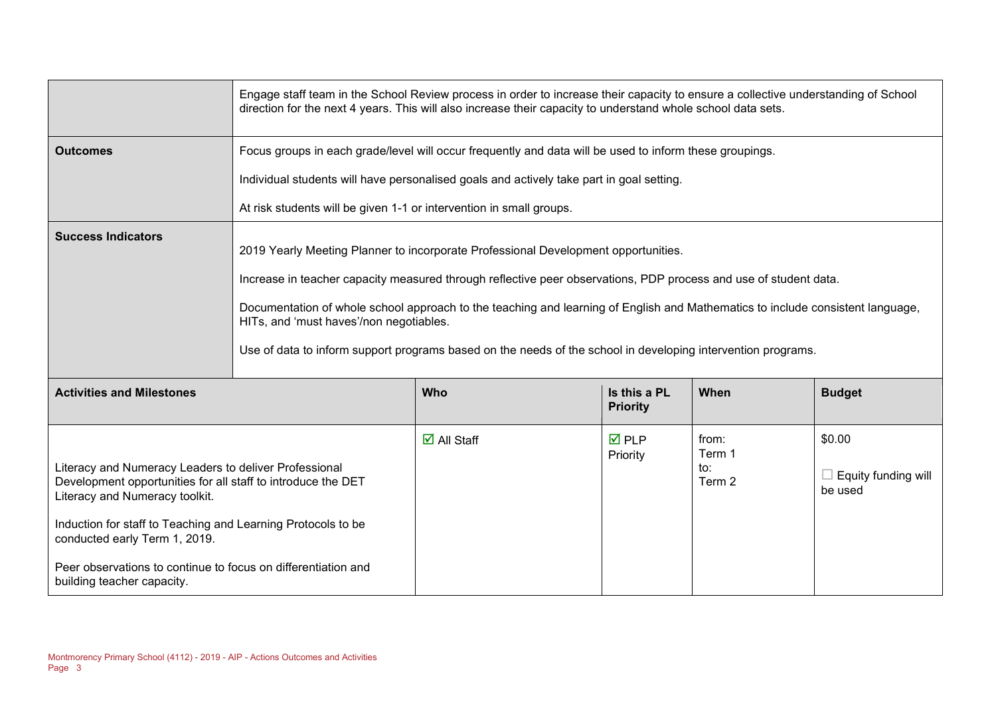|                                                                                                                                                                                                                                                                                                                                                         | Engage staff team in the School Review process in order to increase their capacity to ensure a collective understanding of School<br>direction for the next 4 years. This will also increase their capacity to understand whole school data sets.                                                                                                                                                                                                                                                   |                       |                                 |                                  |                                          |
|---------------------------------------------------------------------------------------------------------------------------------------------------------------------------------------------------------------------------------------------------------------------------------------------------------------------------------------------------------|-----------------------------------------------------------------------------------------------------------------------------------------------------------------------------------------------------------------------------------------------------------------------------------------------------------------------------------------------------------------------------------------------------------------------------------------------------------------------------------------------------|-----------------------|---------------------------------|----------------------------------|------------------------------------------|
| <b>Outcomes</b>                                                                                                                                                                                                                                                                                                                                         | Focus groups in each grade/level will occur frequently and data will be used to inform these groupings.<br>Individual students will have personalised goals and actively take part in goal setting.<br>At risk students will be given 1-1 or intervention in small groups.                                                                                                                                                                                                                          |                       |                                 |                                  |                                          |
| <b>Success Indicators</b>                                                                                                                                                                                                                                                                                                                               | 2019 Yearly Meeting Planner to incorporate Professional Development opportunities.<br>Increase in teacher capacity measured through reflective peer observations, PDP process and use of student data.<br>Documentation of whole school approach to the teaching and learning of English and Mathematics to include consistent language,<br>HITs, and 'must haves'/non negotiables.<br>Use of data to inform support programs based on the needs of the school in developing intervention programs. |                       |                                 |                                  |                                          |
| <b>Activities and Milestones</b>                                                                                                                                                                                                                                                                                                                        |                                                                                                                                                                                                                                                                                                                                                                                                                                                                                                     | <b>Who</b>            | Is this a PL<br><b>Priority</b> | When                             | <b>Budget</b>                            |
| Literacy and Numeracy Leaders to deliver Professional<br>Development opportunities for all staff to introduce the DET<br>Literacy and Numeracy toolkit.<br>Induction for staff to Teaching and Learning Protocols to be<br>conducted early Term 1, 2019.<br>Peer observations to continue to focus on differentiation and<br>building teacher capacity. |                                                                                                                                                                                                                                                                                                                                                                                                                                                                                                     | $\boxtimes$ All Staff | <b>☑</b> PLP<br>Priority        | from:<br>Term 1<br>to:<br>Term 2 | \$0.00<br>Equity funding will<br>be used |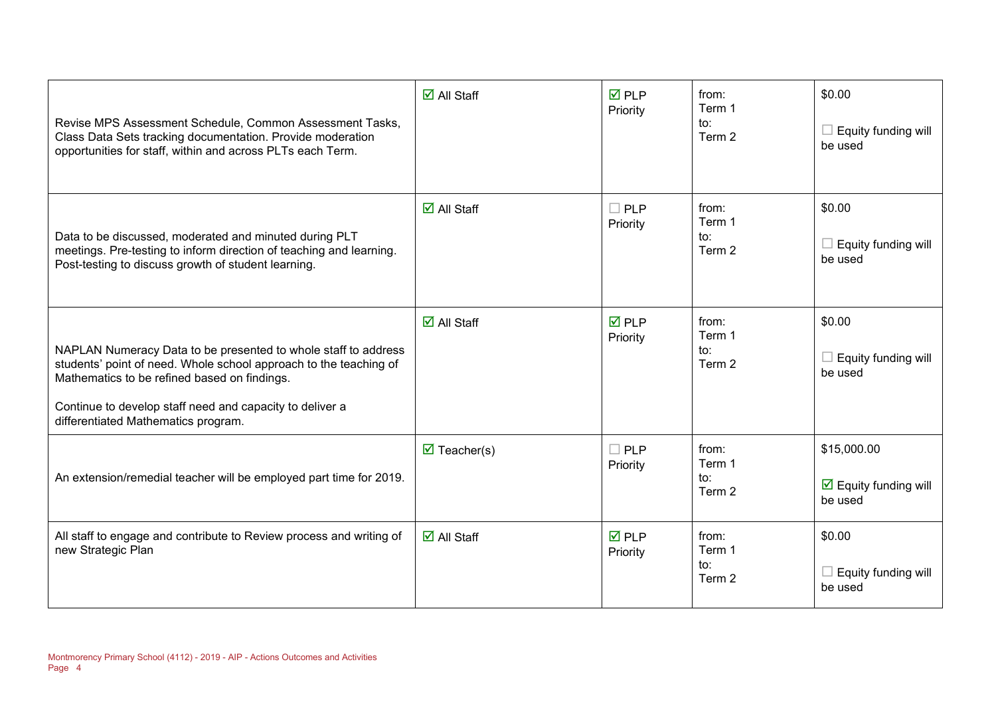| Revise MPS Assessment Schedule, Common Assessment Tasks,<br>Class Data Sets tracking documentation. Provide moderation<br>opportunities for staff, within and across PLTs each Term.                                                                                                   | $\overline{\mathsf{d}}$ All Staff  | $\overline{M}$ PLP<br>Priority | from:<br>Term 1<br>to:<br>Term 2 | \$0.00<br>$\Box$ Equity funding will<br>be used                       |
|----------------------------------------------------------------------------------------------------------------------------------------------------------------------------------------------------------------------------------------------------------------------------------------|------------------------------------|--------------------------------|----------------------------------|-----------------------------------------------------------------------|
| Data to be discussed, moderated and minuted during PLT<br>meetings. Pre-testing to inform direction of teaching and learning.<br>Post-testing to discuss growth of student learning.                                                                                                   | $\overline{\mathsf{M}}$ All Staff  | $\Box$ PLP<br>Priority         | from:<br>Term 1<br>to:<br>Term 2 | \$0.00<br>$\Box$ Equity funding will<br>be used                       |
| NAPLAN Numeracy Data to be presented to whole staff to address<br>students' point of need. Whole school approach to the teaching of<br>Mathematics to be refined based on findings.<br>Continue to develop staff need and capacity to deliver a<br>differentiated Mathematics program. | $\overline{\mathsf{M}}$ All Staff  | $\overline{M}$ PLP<br>Priority | from:<br>Term 1<br>to:<br>Term 2 | \$0.00<br>$\Box$ Equity funding will<br>be used                       |
| An extension/remedial teacher will be employed part time for 2019.                                                                                                                                                                                                                     | $\overline{\mathbf{M}}$ Teacher(s) | $\Box$ PLP<br>Priority         | from:<br>Term 1<br>to:<br>Term 2 | \$15,000.00<br>$\overline{\mathbf{2}}$ Equity funding will<br>be used |
| All staff to engage and contribute to Review process and writing of<br>new Strategic Plan                                                                                                                                                                                              | $\overline{\mathsf{M}}$ All Staff  | $\overline{M}$ PLP<br>Priority | from:<br>Term 1<br>to:<br>Term 2 | \$0.00<br>Equity funding will<br>be used                              |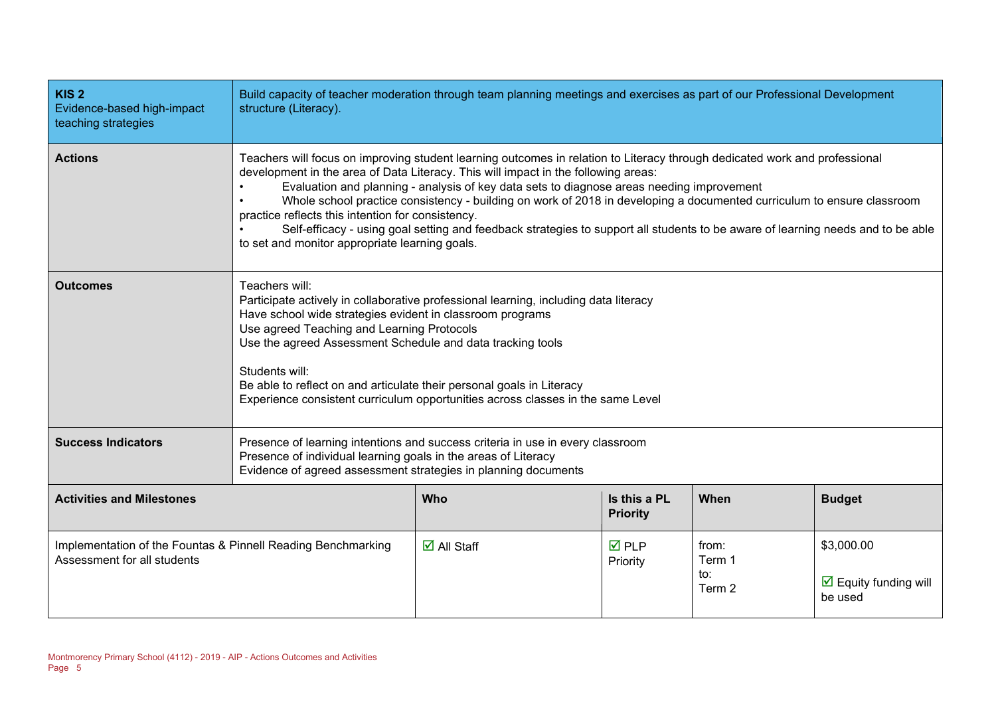| KIS <sub>2</sub><br>Evidence-based high-impact<br>teaching strategies                       | Build capacity of teacher moderation through team planning meetings and exercises as part of our Professional Development<br>structure (Literacy).                                                                                                                                                                                                                                                                                                                                                                                                                                                                                                                                |                                   |                                |                                  |                                                               |
|---------------------------------------------------------------------------------------------|-----------------------------------------------------------------------------------------------------------------------------------------------------------------------------------------------------------------------------------------------------------------------------------------------------------------------------------------------------------------------------------------------------------------------------------------------------------------------------------------------------------------------------------------------------------------------------------------------------------------------------------------------------------------------------------|-----------------------------------|--------------------------------|----------------------------------|---------------------------------------------------------------|
| <b>Actions</b>                                                                              | Teachers will focus on improving student learning outcomes in relation to Literacy through dedicated work and professional<br>development in the area of Data Literacy. This will impact in the following areas:<br>Evaluation and planning - analysis of key data sets to diagnose areas needing improvement<br>Whole school practice consistency - building on work of 2018 in developing a documented curriculum to ensure classroom<br>practice reflects this intention for consistency.<br>Self-efficacy - using goal setting and feedback strategies to support all students to be aware of learning needs and to be able<br>to set and monitor appropriate learning goals. |                                   |                                |                                  |                                                               |
| <b>Outcomes</b>                                                                             | Teachers will:<br>Participate actively in collaborative professional learning, including data literacy<br>Have school wide strategies evident in classroom programs<br>Use agreed Teaching and Learning Protocols<br>Use the agreed Assessment Schedule and data tracking tools<br>Students will:<br>Be able to reflect on and articulate their personal goals in Literacy<br>Experience consistent curriculum opportunities across classes in the same Level                                                                                                                                                                                                                     |                                   |                                |                                  |                                                               |
| <b>Success Indicators</b>                                                                   | Presence of learning intentions and success criteria in use in every classroom<br>Presence of individual learning goals in the areas of Literacy<br>Evidence of agreed assessment strategies in planning documents                                                                                                                                                                                                                                                                                                                                                                                                                                                                |                                   |                                |                                  |                                                               |
| <b>Activities and Milestones</b>                                                            | Who<br>Is this a PL<br>When<br><b>Budget</b><br><b>Priority</b>                                                                                                                                                                                                                                                                                                                                                                                                                                                                                                                                                                                                                   |                                   |                                |                                  |                                                               |
| Implementation of the Fountas & Pinnell Reading Benchmarking<br>Assessment for all students |                                                                                                                                                                                                                                                                                                                                                                                                                                                                                                                                                                                                                                                                                   | $\overline{\mathbf{M}}$ All Staff | $\overline{M}$ PLP<br>Priority | from:<br>Term 1<br>to:<br>Term 2 | \$3,000.00<br>$\triangleright$ Equity funding will<br>be used |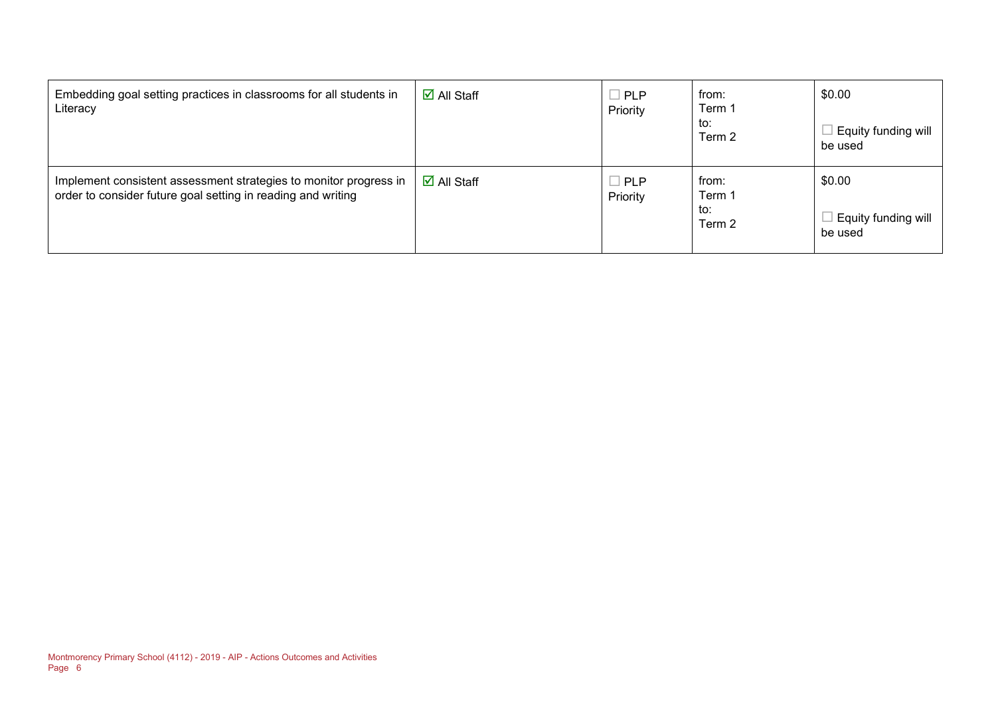| Embedding goal setting practices in classrooms for all students in<br>Literacy                                                    | $\overline{\Box}$ All Staff       | $\Box$ PLP<br>Priority | from:<br>Term 1<br>to:<br>Term 2 | \$0.00<br>Equity funding will<br>be used |
|-----------------------------------------------------------------------------------------------------------------------------------|-----------------------------------|------------------------|----------------------------------|------------------------------------------|
| Implement consistent assessment strategies to monitor progress in<br>order to consider future goal setting in reading and writing | $\overline{\mathsf{d}}$ All Staff | $\Box$ PLP<br>Priority | from:<br>Term 1<br>to:<br>Term 2 | \$0.00<br>Equity funding will<br>be used |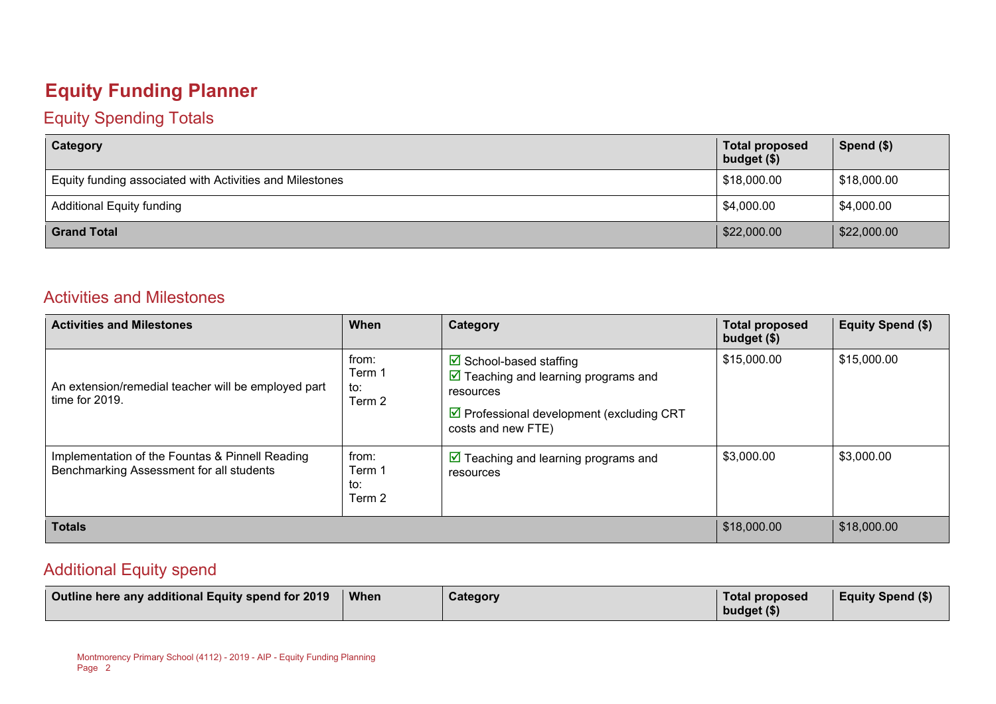## **Equity Funding Planner**

#### Equity Spending Totals

| Category                                                 | <b>Total proposed</b><br>budget (\$) | Spend $($)$ |
|----------------------------------------------------------|--------------------------------------|-------------|
| Equity funding associated with Activities and Milestones | \$18,000.00                          | \$18,000.00 |
| <b>Additional Equity funding</b>                         | \$4,000.00                           | \$4,000.00  |
| <b>Grand Total</b>                                       | \$22,000.00                          | \$22,000.00 |

#### Activities and Milestones

| <b>Activities and Milestones</b>                                                            | When                             | Category                                                                                                                                                                       | <b>Total proposed</b><br>budget (\$) | <b>Equity Spend (\$)</b> |
|---------------------------------------------------------------------------------------------|----------------------------------|--------------------------------------------------------------------------------------------------------------------------------------------------------------------------------|--------------------------------------|--------------------------|
| An extension/remedial teacher will be employed part<br>time for 2019.                       | from:<br>Term 1<br>to:<br>Term 2 | School-based staffing<br>$\boxed{\triangle}$ Teaching and learning programs and<br>resources<br>$\triangleright$ Professional development (excluding CRT<br>costs and new FTE) | \$15,000.00                          | \$15,000.00              |
| Implementation of the Fountas & Pinnell Reading<br>Benchmarking Assessment for all students | from:<br>Term 1<br>to:<br>Term 2 | $\boxed{\triangleright}$ Teaching and learning programs and<br>resources                                                                                                       | \$3,000.00                           | \$3,000.00               |
| <b>Totals</b>                                                                               |                                  |                                                                                                                                                                                |                                      | \$18,000.00              |

#### Additional Equity spend

| Outline here any additional Equity spend for 2019<br><b>When</b> | Category | Total proposed<br>budget $(\$)$ | <b>Equity Spend (\$)</b> |
|------------------------------------------------------------------|----------|---------------------------------|--------------------------|
|------------------------------------------------------------------|----------|---------------------------------|--------------------------|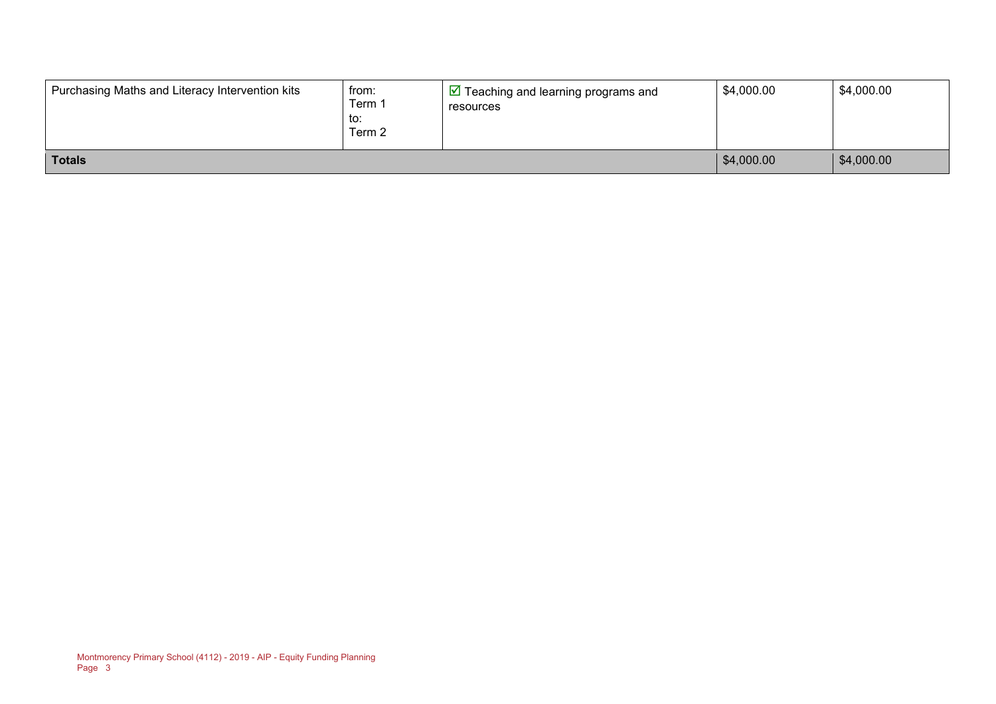| Purchasing Maths and Literacy Intervention kits | from:<br>Term 1<br>to:<br>Term 2 | $\sqrt{2}$ Teaching and learning programs and<br>resources | \$4,000.00 | \$4,000.00 |
|-------------------------------------------------|----------------------------------|------------------------------------------------------------|------------|------------|
| <b>Totals</b>                                   |                                  |                                                            | \$4,000.00 | \$4,000.00 |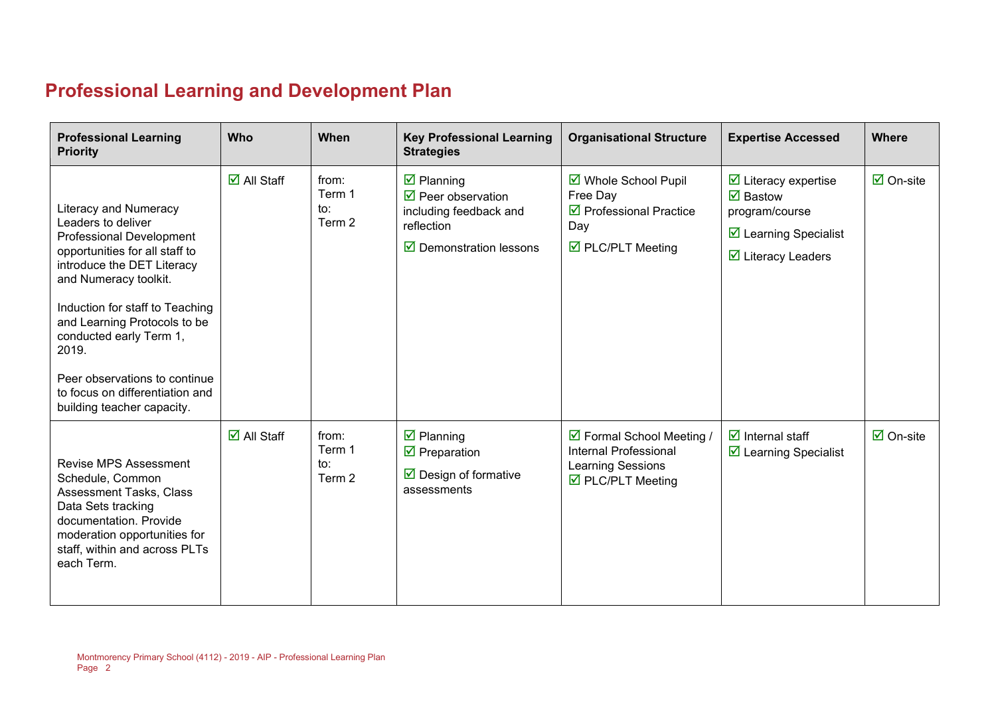## **Professional Learning and Development Plan**

| <b>Professional Learning</b><br><b>Priority</b>                                                                                                                                                                                                                                                                                                                                  | Who                               | When                             | <b>Key Professional Learning</b><br><b>Strategies</b>                                                                                     | <b>Organisational Structure</b>                                                                                     | <b>Expertise Accessed</b>                                                                                                                                                   | <b>Where</b>                    |
|----------------------------------------------------------------------------------------------------------------------------------------------------------------------------------------------------------------------------------------------------------------------------------------------------------------------------------------------------------------------------------|-----------------------------------|----------------------------------|-------------------------------------------------------------------------------------------------------------------------------------------|---------------------------------------------------------------------------------------------------------------------|-----------------------------------------------------------------------------------------------------------------------------------------------------------------------------|---------------------------------|
| Literacy and Numeracy<br>Leaders to deliver<br><b>Professional Development</b><br>opportunities for all staff to<br>introduce the DET Literacy<br>and Numeracy toolkit.<br>Induction for staff to Teaching<br>and Learning Protocols to be<br>conducted early Term 1,<br>2019.<br>Peer observations to continue<br>to focus on differentiation and<br>building teacher capacity. | $\overline{\mathsf{M}}$ All Staff | from:<br>Term 1<br>to:<br>Term 2 | $\boxtimes$ Planning<br>$\triangledown$ Peer observation<br>including feedback and<br>reflection<br>$\triangledown$ Demonstration lessons | ■ Whole School Pupil<br>Free Day<br>$\triangledown$ Professional Practice<br>Day<br>$\triangledown$ PLC/PLT Meeting | $\triangleright$ Literacy expertise<br>$\overline{\mathbf{M}}$ Bastow<br>program/course<br>$\triangleright$ Learning Specialist<br>$\overline{\mathbf{y}}$ Literacy Leaders | $\overline{\mathsf{M}}$ On-site |
| <b>Revise MPS Assessment</b><br>Schedule, Common<br><b>Assessment Tasks, Class</b><br>Data Sets tracking<br>documentation. Provide<br>moderation opportunities for<br>staff, within and across PLTs<br>each Term.                                                                                                                                                                | $\overline{\Box}$ All Staff       | from:<br>Term 1<br>to:<br>Term 2 | $\overline{\mathbf{y}}$ Planning<br>$\overline{\mathbf{y}}$ Preparation<br>$\triangleright$ Design of formative<br>assessments            | ☑ Formal School Meeting /<br><b>Internal Professional</b><br>Learning Sessions<br>$\triangledown$ PLC/PLT Meeting   | $\overline{\mathbf{y}}$ Internal staff<br>$\triangleright$ Learning Specialist                                                                                              | $\boxdot$ On-site               |